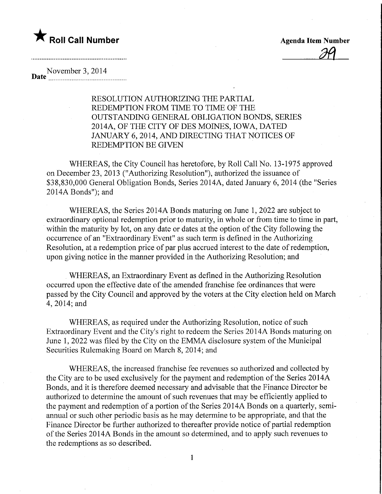## **The Roll Call Number** Roll Call Number 2014 11:30 Agenda Item Number

November 3, 2014<br>mate material parameters

RESOLUTION AUTHORIZING THE PARTIAL REDEMPTION FROM TIME TO TIME OF THE OUTSTANDING GENERAL OBLIGATION BONDS, SERIES 2014A, OF THE CITY OF DES MOINES, IOWA, DATED JANUARY 6, 2014, AND DIRECTING THAT NOTICES OF REDEMPTION BE GIVEN

WHEREAS, the City Council has heretofore, by Roll Call No. 13-1975 approved on December 23, 2013 ("Authorizing Resolution"), authorized the issuance of \$38,830,000 General Obligation Bonds, Series 2014A, dated January 6, 2014 (the "Series 2014A Bonds"); and

WHEREAS, the Series 2014A Bonds maturing on June 1, 2022 are subject to extraordinary optional redemption prior to maturity, in whole or from time to time in part, within the maturity by lot, on any date or dates at the option of the City following the occurrence of an "Extraordinary Event" as such term is defined in the Authorizing Resolution, at a redemption price of par plus accrued interest to the date of redemption, upon giving notice in the manner provided in the Authorizing Resolution; and

WHEREAS, an Extraordinary Event as defined in the Authorizing Resolution occurred upon the effective date of the amended franchise fee ordinances that were passed by the City Council and approved by the voters at the City election held on March 4,2014; and

WHEREAS, as required under the Authorizing Resolution, notice of such Extraordinary Event and the City's right to redeem the Series 2014A Bonds maturing on June 1, 2022 was filed by the City on the EMMA disclosure system of the Municipal Securities Rulemaking Board on March 8, 2014; and

WHEREAS, the increased franchise fee revenues so authorized and collected by the City are to be used exclusively for the payment and redemption of the Series 2014A Bonds, and it is therefore deemed necessary and advisable that the Finance Director be authorized to determine the amount of such revenues that may be efficiently applied to the payment and redemption of a portion of the Series 2014A Bonds on a quarterly, semiannual or such other periodic basis as he may determine to be appropriate, and that the Finance Director be further authorized to thereafter provide notice of partial redemption of the Series 2014A Bonds in the amount so determined, and to apply such revenues to the redemptions as so described.

1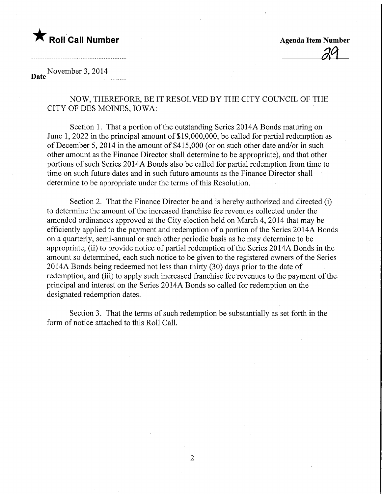# **The Roll Call Number Agents Contained Agents Agents Agents Agents Agents Agents Agents Agents Agents Agents Agents Agents Agents Agents Agents Agents Agents Agents Agents Agents Agents Agents Agents Agents Agents Agents A**

29

#### November 3, 2014 Date <u>Manuel Communication</u>

NOW, THEREFORE, BE IT RESOLVED BY THE CITY COUNCIL OF THE CITY OF DES MOINES, IOWA:

Section 1. That a portion of the outstanding Series 2014A Bonds maturing on June 1, 2022 in the principal amount of \$19,000,000, be called for partial redemption as of December 5, 2014 in the amount of \$415,000 (or on such other date and/or in such other amount as the Finance Director shall determine to be appropriate), and that other portions of such Series 2014A Bonds also be called for partial redemption from time to time on such future dates and in such future amounts as the Finance Director shall determine to be appropriate under the terms of this Resolution.

Section 2. That the Finance Director be and is hereby authorized and directed (i) to determine the amount of the increased franchise fee revenues collected under the amended ordinances approved at the City election held on March 4, 2014 that may be efficiently applied to the payment and redemption of a portion of the Series 2014A Bonds on a quarterly, semi-annual or such other periodic basis as he may determine to be appropriate, (ii) to provide notice of partial redemption of the Series 2014A Bonds in the amount so determined, each such notice to be given to the registered owners of the Series 2014A Bonds being redeemed not less than thirty (30) days prior to the date of redemption, and (iii) to apply such increased franchise fee revenues to the payment of the principal and interest on the Series 2014A Bonds so called for redemption on the designated redemption dates.

Section 3. That the terms of such redemption be substantially as set forth in the form of notice attached to this Roll Call.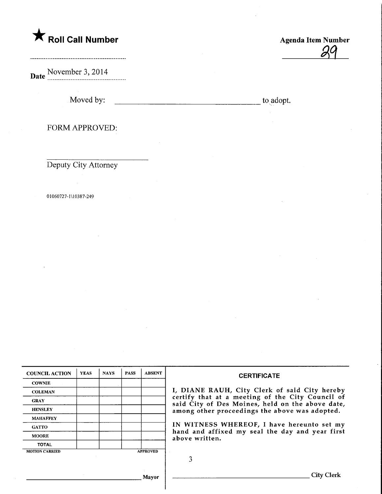# **K** Roll Call Number

.....................................

**Date** November 3, 2014

Moved by: to adopt.

Agenda Item Number

 $\mathscr Q$ 

FORM APPROVED:

Deputy City Attorney

01060727-1U0387-249

| <b>COUNCIL ACTION</b> | <b>YEAS</b> | <b>NAYS</b> | <b>PASS</b> | <b>ABSENT</b>   | <b>CERTIFICATE</b>                                                                                                                                                                                      |  |  |
|-----------------------|-------------|-------------|-------------|-----------------|---------------------------------------------------------------------------------------------------------------------------------------------------------------------------------------------------------|--|--|
| <b>COWNIE</b>         |             |             |             |                 |                                                                                                                                                                                                         |  |  |
| <b>COLEMAN</b>        |             |             |             |                 | I, DIANE RAUH, City Clerk of said City hereby<br>certify that at a meeting of the City Council of<br>said City of Des Moines, held on the above date,<br>among other proceedings the above was adopted. |  |  |
| <b>GRAY</b>           |             |             |             |                 |                                                                                                                                                                                                         |  |  |
| <b>HENSLEY</b>        |             |             |             |                 |                                                                                                                                                                                                         |  |  |
| <b>MAHAFFEY</b>       |             |             |             |                 |                                                                                                                                                                                                         |  |  |
| <b>GATTO</b>          |             |             |             |                 | IN WITNESS WHEREOF, I have hereunto set my<br>hand and affixed my seal the day and year first<br>above written.                                                                                         |  |  |
| <b>MOORE</b>          |             |             |             |                 |                                                                                                                                                                                                         |  |  |
| <b>TOTAL</b>          |             |             |             |                 |                                                                                                                                                                                                         |  |  |
| <b>MOTION CARRIED</b> |             |             |             | <b>APPROVED</b> |                                                                                                                                                                                                         |  |  |
|                       |             |             |             |                 |                                                                                                                                                                                                         |  |  |
|                       |             |             |             |                 |                                                                                                                                                                                                         |  |  |
| Mavor                 |             |             |             |                 | City Clerk                                                                                                                                                                                              |  |  |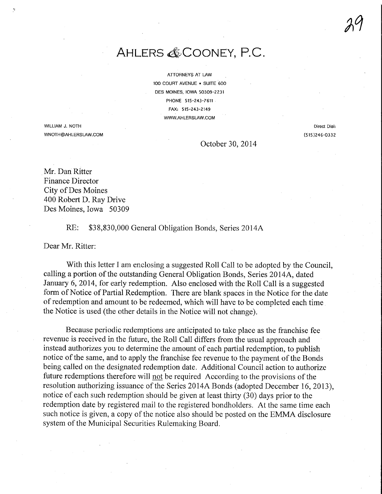### AHLERS & COONEY, P.C.

ATTORNEYS AT LAW 100 COURT AVENUE • SUITE 600 DES MOINES, IOWA 50309-2231 PHONE 515-243-7611 FAX: 515-243-2149 WWW.AHLERSLAW.COM

WILLIAM J. NOTH WNOTH@AHLERSLAW.COM

Direct Dial; (515)246-0332 29

October 30, 2014

Mr. Dan Ritter Finance Director City of Des Moines 400 Robert D. Ray Drive Des Moines, Iowa 50309

RE: \$38,830,000 General Obligation Bonds, Series 2014A

Dear Mr. Ritter:

With this letter I am enclosing a suggested Roll Call to be adopted by the Council, calling a portion of the outstanding General Obligation Bonds, Series 2014A, dated January 6, 2014, for early redemption. Also enclosed with the Roll Call is a suggested form of Notice of Partial Redemption. There are blank spaces in the Notice for the date of redemption and amount to be redeemed, which will have to be completed each time the Notice is used (the other details in the Notice will not change).

Because periodic redemptions are anticipated to take place as the franchise fee revenue is received in the future, the Roll Call differs from the usual approach and instead authorizes you to determine the amount of each partial redemption, to publish notice of the same, and to apply the franchise fee revenue to the payment of the Bonds being called on the designated redemption date. Additional Council action to authorize future redemptions therefore will not be required According to the provisions of the resolution authorizing issuance of the Series 2014A Bonds (adopted December 16, 2013), notice of each such redemption should be given at least thirty (30) days prior to the redemption date by registered mail to the registered bondholders. At the same time each such notice is given, a copy of the notice also should be posted on the EMMA disclosure system of the Municipal Securities Rulemaking Board.